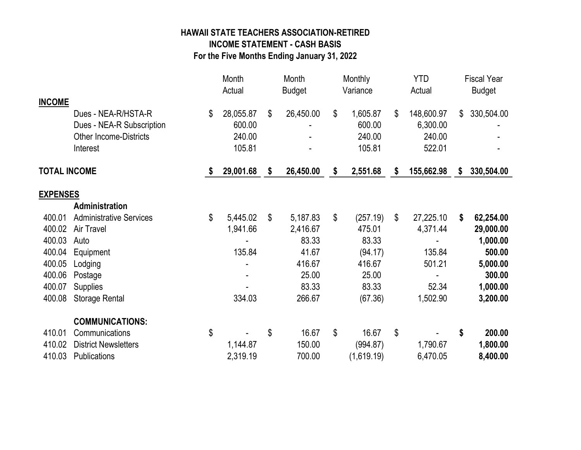## HAWAII STATE TEACHERS ASSOCIATION-RETIRED INCOME STATEMENT - CASH BASIS

For the Five Months Ending January 31, 2022

|                     |                                |    | Month<br>Actual |    | Month<br><b>Budget</b> |    | Monthly<br>Variance |    | <b>YTD</b><br>Actual |    | <b>Fiscal Year</b><br><b>Budget</b> |  |
|---------------------|--------------------------------|----|-----------------|----|------------------------|----|---------------------|----|----------------------|----|-------------------------------------|--|
| <b>INCOME</b>       |                                |    |                 |    |                        |    |                     |    |                      |    |                                     |  |
|                     | Dues - NEA-R/HSTA-R            | \$ | 28,055.87       | \$ | 26,450.00              | \$ | 1,605.87            | \$ | 148,600.97           | \$ | 330,504.00                          |  |
|                     | Dues - NEA-R Subscription      |    | 600.00          |    |                        |    | 600.00              |    | 6,300.00             |    |                                     |  |
|                     | <b>Other Income-Districts</b>  |    | 240.00          |    |                        |    | 240.00              |    | 240.00               |    |                                     |  |
|                     | Interest                       |    | 105.81          |    |                        |    | 105.81              |    | 522.01               |    |                                     |  |
| <b>TOTAL INCOME</b> |                                | -S | 29,001.68       | \$ | 26,450.00              | \$ | 2,551.68            | \$ | 155,662.98           | \$ | 330,504.00                          |  |
| <b>EXPENSES</b>     |                                |    |                 |    |                        |    |                     |    |                      |    |                                     |  |
|                     | Administration                 |    |                 |    |                        |    |                     |    |                      |    |                                     |  |
| 400.01              | <b>Administrative Services</b> | \$ | 5,445.02        | \$ | 5,187.83               | \$ | (257.19)            | \$ | 27,225.10            | \$ | 62,254.00                           |  |
| 400.02              | Air Travel                     |    | 1,941.66        |    | 2,416.67               |    | 475.01              |    | 4,371.44             |    | 29,000.00                           |  |
| 400.03              | Auto                           |    |                 |    | 83.33                  |    | 83.33               |    |                      |    | 1,000.00                            |  |
| 400.04              | Equipment                      |    | 135.84          |    | 41.67                  |    | (94.17)             |    | 135.84               |    | 500.00                              |  |
| 400.05              | Lodging                        |    |                 |    | 416.67                 |    | 416.67              |    | 501.21               |    | 5,000.00                            |  |
| 400.06              | Postage                        |    |                 |    | 25.00                  |    | 25.00               |    |                      |    | 300.00                              |  |
| 400.07              | Supplies                       |    |                 |    | 83.33                  |    | 83.33               |    | 52.34                |    | 1,000.00                            |  |
| 400.08              | <b>Storage Rental</b>          |    | 334.03          |    | 266.67                 |    | (67.36)             |    | 1,502.90             |    | 3,200.00                            |  |
|                     | <b>COMMUNICATIONS:</b>         |    |                 |    |                        |    |                     |    |                      |    |                                     |  |
| 410.01              | Communications                 | \$ |                 | \$ | 16.67                  | \$ | 16.67               | \$ |                      | \$ | 200.00                              |  |
| 410.02              | <b>District Newsletters</b>    |    | 1,144.87        |    | 150.00                 |    | (994.87)            |    | 1,790.67             |    | 1,800.00                            |  |
| 410.03              | Publications                   |    | 2,319.19        |    | 700.00                 |    | (1,619.19)          |    | 6,470.05             |    | 8,400.00                            |  |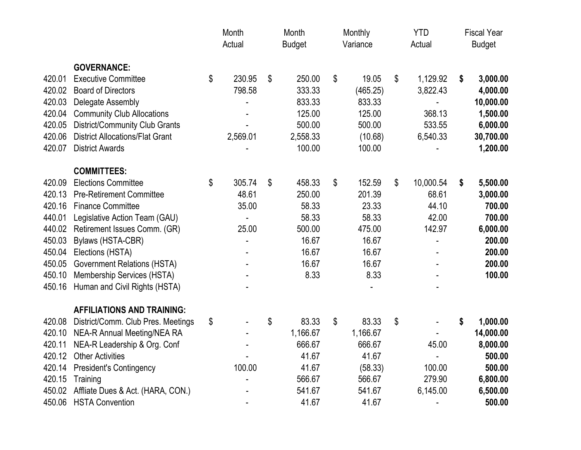|        |                                        | Month<br>Actual |          | Month<br><b>Budget</b> |          | Monthly<br>Variance |          | <b>YTD</b><br>Actual |           | <b>Fiscal Year</b><br><b>Budget</b> |           |
|--------|----------------------------------------|-----------------|----------|------------------------|----------|---------------------|----------|----------------------|-----------|-------------------------------------|-----------|
|        | <b>GOVERNANCE:</b>                     |                 |          |                        |          |                     |          |                      |           |                                     |           |
| 420.01 | <b>Executive Committee</b>             | \$              | 230.95   | \$                     | 250.00   | \$                  | 19.05    | \$                   | 1,129.92  | \$                                  | 3,000.00  |
| 420.02 | <b>Board of Directors</b>              |                 | 798.58   |                        | 333.33   |                     | (465.25) |                      | 3,822.43  |                                     | 4,000.00  |
| 420.03 | Delegate Assembly                      |                 |          |                        | 833.33   |                     | 833.33   |                      |           |                                     | 10,000.00 |
| 420.04 | <b>Community Club Allocations</b>      |                 |          |                        | 125.00   |                     | 125.00   |                      | 368.13    |                                     | 1,500.00  |
| 420.05 | District/Community Club Grants         |                 |          |                        | 500.00   |                     | 500.00   |                      | 533.55    |                                     | 6,000.00  |
| 420.06 | <b>District Allocations/Flat Grant</b> |                 | 2,569.01 |                        | 2,558.33 |                     | (10.68)  |                      | 6,540.33  |                                     | 30,700.00 |
| 420.07 | <b>District Awards</b>                 |                 |          |                        | 100.00   |                     | 100.00   |                      |           |                                     | 1,200.00  |
|        | <b>COMMITTEES:</b>                     |                 |          |                        |          |                     |          |                      |           |                                     |           |
| 420.09 | <b>Elections Committee</b>             | \$              | 305.74   | \$                     | 458.33   | \$                  | 152.59   | \$                   | 10,000.54 | \$                                  | 5,500.00  |
| 420.13 | <b>Pre-Retirement Committee</b>        |                 | 48.61    |                        | 250.00   |                     | 201.39   |                      | 68.61     |                                     | 3,000.00  |
| 420.16 | <b>Finance Committee</b>               |                 | 35.00    |                        | 58.33    |                     | 23.33    |                      | 44.10     |                                     | 700.00    |
| 440.01 | Legislative Action Team (GAU)          |                 |          |                        | 58.33    |                     | 58.33    |                      | 42.00     |                                     | 700.00    |
| 440.02 | Retirement Issues Comm. (GR)           |                 | 25.00    |                        | 500.00   |                     | 475.00   |                      | 142.97    |                                     | 6,000.00  |
| 450.03 | Bylaws (HSTA-CBR)                      |                 |          |                        | 16.67    |                     | 16.67    |                      |           |                                     | 200.00    |
| 450.04 | Elections (HSTA)                       |                 |          |                        | 16.67    |                     | 16.67    |                      |           |                                     | 200.00    |
| 450.05 | <b>Government Relations (HSTA)</b>     |                 |          |                        | 16.67    |                     | 16.67    |                      |           |                                     | 200.00    |
| 450.10 | Membership Services (HSTA)             |                 |          |                        | 8.33     |                     | 8.33     |                      |           |                                     | 100.00    |
| 450.16 | Human and Civil Rights (HSTA)          |                 |          |                        |          |                     |          |                      |           |                                     |           |
|        | <b>AFFILIATIONS AND TRAINING:</b>      |                 |          |                        |          |                     |          |                      |           |                                     |           |
| 420.08 | District/Comm. Club Pres. Meetings     | \$              |          | \$                     | 83.33    | \$                  | 83.33    | \$                   |           | \$                                  | 1,000.00  |
| 420.10 | <b>NEA-R Annual Meeting/NEA RA</b>     |                 |          |                        | 1,166.67 |                     | 1,166.67 |                      |           |                                     | 14,000.00 |
| 420.11 | NEA-R Leadership & Org. Conf           |                 |          |                        | 666.67   |                     | 666.67   |                      | 45.00     |                                     | 8,000.00  |
| 420.12 | <b>Other Activities</b>                |                 |          |                        | 41.67    |                     | 41.67    |                      |           |                                     | 500.00    |
| 420.14 | <b>President's Contingency</b>         |                 | 100.00   |                        | 41.67    |                     | (58.33)  |                      | 100.00    |                                     | 500.00    |
| 420.15 | Training                               |                 |          |                        | 566.67   |                     | 566.67   |                      | 279.90    |                                     | 6,800.00  |
| 450.02 | Affliate Dues & Act. (HARA, CON.)      |                 |          |                        | 541.67   |                     | 541.67   |                      | 6,145.00  |                                     | 6,500.00  |
| 450.06 | <b>HSTA Convention</b>                 |                 |          |                        | 41.67    |                     | 41.67    |                      |           |                                     | 500.00    |